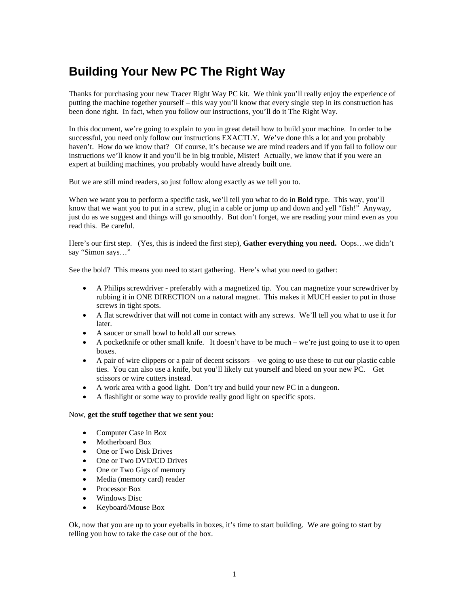## **Building Your New PC The Right Way**

Thanks for purchasing your new Tracer Right Way PC kit. We think you'll really enjoy the experience of putting the machine together yourself – this way you'll know that every single step in its construction has been done right. In fact, when you follow our instructions, you'll do it The Right Way.

In this document, we're going to explain to you in great detail how to build your machine. In order to be successful, you need only follow our instructions EXACTLY. We've done this a lot and you probably haven't. How do we know that? Of course, it's because we are mind readers and if you fail to follow our instructions we'll know it and you'll be in big trouble, Mister! Actually, we know that if you were an expert at building machines, you probably would have already built one.

But we are still mind readers, so just follow along exactly as we tell you to.

When we want you to perform a specific task, we'll tell you what to do in **Bold** type. This way, you'll know that we want you to put in a screw, plug in a cable or jump up and down and yell "fish!" Anyway, just do as we suggest and things will go smoothly. But don't forget, we are reading your mind even as you read this. Be careful.

Here's our first step. (Yes, this is indeed the first step), **Gather everything you need.** Oops…we didn't say "Simon says…"

See the bold? This means you need to start gathering. Here's what you need to gather:

- A Philips screwdriver preferably with a magnetized tip. You can magnetize your screwdriver by rubbing it in ONE DIRECTION on a natural magnet. This makes it MUCH easier to put in those screws in tight spots.
- A flat screwdriver that will not come in contact with any screws. We'll tell you what to use it for later.
- A saucer or small bowl to hold all our screws
- A pocket knife or other small knife. It doesn't have to be much we're just going to use it to open boxes.
- A pair of wire clippers or a pair of decent scissors we going to use these to cut our plastic cable ties. You can also use a knife, but you'll likely cut yourself and bleed on your new PC. Get scissors or wire cutters instead.
- A work area with a good light. Don't try and build your new PC in a dungeon.
- A flashlight or some way to provide really good light on specific spots.

## Now, **get the stuff together that we sent you:**

- Computer Case in Box
- Motherboard Box
- One or Two Disk Drives
- One or Two DVD/CD Drives
- One or Two Gigs of memory
- Media (memory card) reader
- Processor Box
- Windows Disc
- Keyboard/Mouse Box

Ok, now that you are up to your eyeballs in boxes, it's time to start building. We are going to start by telling you how to take the case out of the box.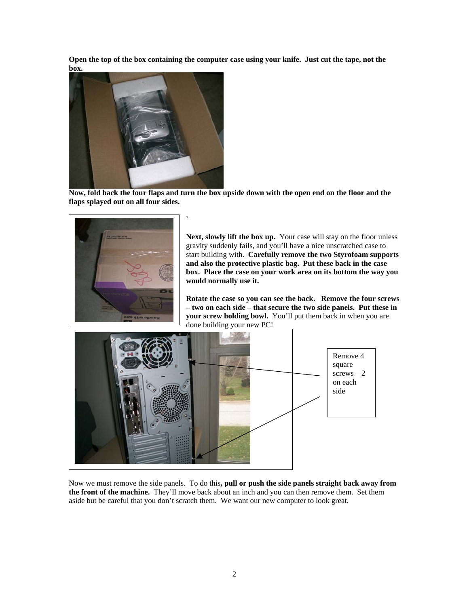**Open the top of the box containing the computer case using your knife. Just cut the tape, not the box.** 



**Now, fold back the four flaps and turn the box upside down with the open end on the floor and the flaps splayed out on all four sides.** 

**`** 



Next, slowly lift the box up. Your case will stay on the floor unless gravity suddenly fails, and you'll have a nice unscratched case to start building with. **Carefully remove the two Styrofoam supports and also the protective plastic bag. Put these back in the case box. Place the case on your work area on its bottom the way you would normally use it.** 

**Rotate the case so you can see the back. Remove the four screws – two on each side – that secure the two side panels. Put these in your screw holding bowl.** You'll put them back in when you are done building your new PC!



Now we must remove the side panels. To do this**, pull or push the side panels straight back away from the front of the machine.** They'll move back about an inch and you can then remove them. Set them aside but be careful that you don't scratch them. We want our new computer to look great.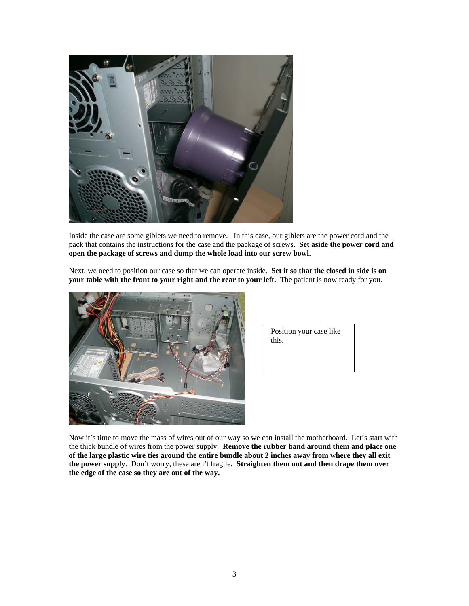

Inside the case are some giblets we need to remove. In this case, our giblets are the power cord and the pack that contains the instructions for the case and the package of screws. **Set aside the power cord and open the package of screws and dump the whole load into our screw bowl.** 

Next, we need to position our case so that we can operate inside. **Set it so that the closed in side is on your table with the front to your right and the rear to your left.** The patient is now ready for you.



| Position your case like |  |
|-------------------------|--|
| this.                   |  |
|                         |  |

Now it's time to move the mass of wires out of our way so we can install the motherboard. Let's start with the thick bundle of wires from the power supply. **Remove the rubber band around them and place one of the large plastic wire ties around the entire bundle about 2 inches away from where they all exit the power supply**. Don't worry, these aren't fragile**. Straighten them out and then drape them over the edge of the case so they are out of the way.**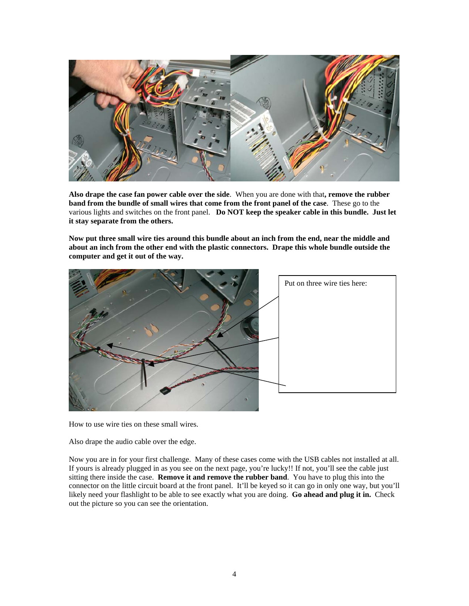

**Also drape the case fan power cable over the side**. When you are done with that**, remove the rubber band from the bundle of small wires that come from the front panel of the case**. These go to the various lights and switches on the front panel. **Do NOT keep the speaker cable in this bundle. Just let it stay separate from the others.** 

**Now put three small wire ties around this bundle about an inch from the end, near the middle and about an inch from the other end with the plastic connectors. Drape this whole bundle outside the computer and get it out of the way.** 



How to use wire ties on these small wires.

Also drape the audio cable over the edge.

Now you are in for your first challenge. Many of these cases come with the USB cables not installed at all. If yours is already plugged in as you see on the next page, you're lucky!! If not, you'll see the cable just sitting there inside the case. **Remove it and remove the rubber band**. You have to plug this into the connector on the little circuit board at the front panel. It'll be keyed so it can go in only one way, but you'll likely need your flashlight to be able to see exactly what you are doing. **Go ahead and plug it in.** Check out the picture so you can see the orientation.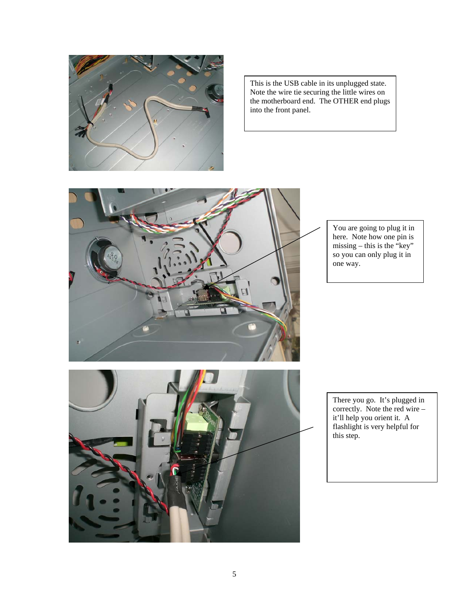

This is the USB cable in its unplugged state. Note the wire tie securing the little wires on the motherboard end. The OTHER end plugs into the front panel.



You are going to plug it in here. Note how one pin is missing – this is the "key" so you can only plug it in one way.



There you go. It's plugged in correctly. Note the red wire – it'll help you orient it. A flashlight is very helpful for this step.